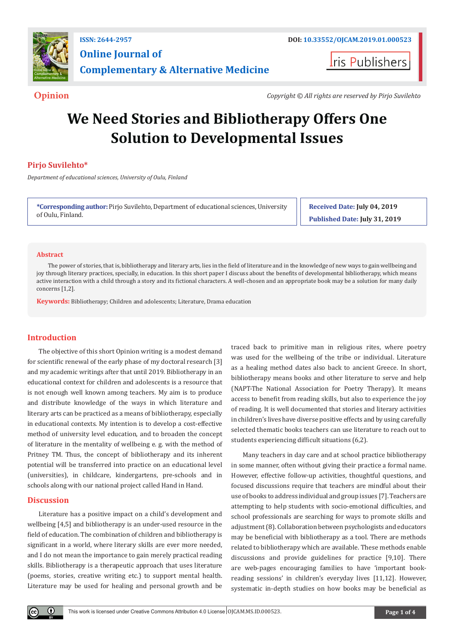

**Iris Publishers** 

**Opinion** *Copyright © All rights are reserved by Pirjo Suvilehto*

# **We Need Stories and Bibliotherapy Offers One Solution to Developmental Issues**

## **Pirjo Suvilehto\***

*Department of educational sciences, University of Oulu, Finland*

**\*Corresponding author:** Pirjo Suvilehto, Department of educational sciences, University of Oulu, Finland.

**Received Date: July 04, 2019 Published Date: July 31, 2019**

#### **Abstract**

The power of stories, that is, bibliotherapy and literary arts, lies in the field of literature and in the knowledge of new ways to gain wellbeing and joy through literary practices, specially, in education. In this short paper I discuss about the benefits of developmental bibliotherapy, which means active interaction with a child through a story and its fictional characters. A well-chosen and an appropriate book may be a solution for many daily concerns [1,2].

**Keywords:** Bibliotherapy; Children and adolescents; Literature, Drama education

### **Introduction**

The objective of this short Opinion writing is a modest demand for scientific renewal of the early phase of my doctoral research [3] and my academic writings after that until 2019. Bibliotherapy in an educational context for children and adolescents is a resource that is not enough well known among teachers. My aim is to produce and distribute knowledge of the ways in which literature and literary arts can be practiced as a means of bibliotherapy, especially in educational contexts. My intention is to develop a cost-effective method of university level education, and to broaden the concept of literature in the mentality of wellbeing e. g. with the method of Pritney TM. Thus, the concept of bibliotherapy and its inherent potential will be transferred into practice on an educational level (universities), in childcare, kindergartens, pre-schools and in schools along with our national project called Hand in Hand.

#### **Discussion**

Literature has a positive impact on a child's development and wellbeing [4,5] and bibliotherapy is an under-used resource in the field of education. The combination of children and bibliotherapy is significant in a world, where literary skills are ever more needed, and I do not mean the importance to gain merely practical reading skills. Bibliotherapy is a therapeutic approach that uses literature (poems, stories, creative writing etc.) to support mental health. Literature may be used for healing and personal growth and be

traced back to primitive man in religious rites, where poetry was used for the wellbeing of the tribe or individual. Literature as a healing method dates also back to ancient Greece. In short, bibliotherapy means books and other literature to serve and help (NAPT-The National Association for Poetry Therapy). It means access to benefit from reading skills, but also to experience the joy of reading. It is well documented that stories and literary activities in children's lives have diverse positive effects and by using carefully selected thematic books teachers can use literature to reach out to students experiencing difficult situations (6,2).

Many teachers in day care and at school practice bibliotherapy in some manner, often without giving their practice a formal name. However, effective follow-up activities, thoughtful questions, and focused discussions require that teachers are mindful about their use of books to address individual and group issues [7]. Teachers are attempting to help students with socio-emotional difficulties, and school professionals are searching for ways to promote skills and adjustment (8). Collaboration between psychologists and educators may be beneficial with bibliotherapy as a tool. There are methods related to bibliotherapy which are available. These methods enable discussions and provide guidelines for practice [9,10]. There are web-pages encouraging families to have 'important bookreading sessions' in children's everyday lives [11,12]. However, systematic in-depth studies on how books may be beneficial as

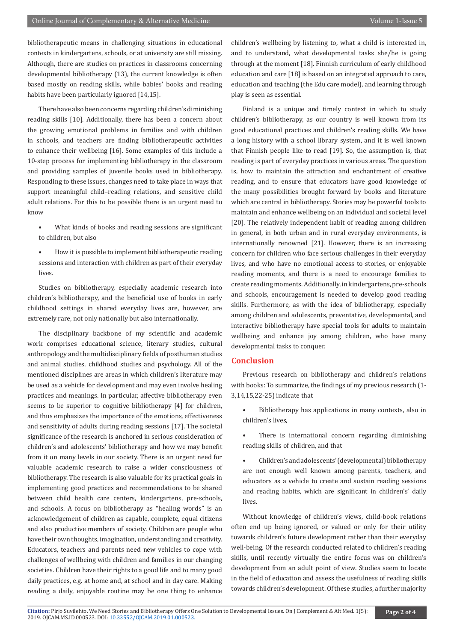bibliotherapeutic means in challenging situations in educational contexts in kindergartens, schools, or at university are still missing. Although, there are studies on practices in classrooms concerning developmental bibliotherapy (13), the current knowledge is often based mostly on reading skills, while babies' books and reading habits have been particularly ignored [14,15].

There have also been concerns regarding children's diminishing reading skills [10]. Additionally, there has been a concern about the growing emotional problems in families and with children in schools, and teachers are finding bibliotherapeutic activities to enhance their wellbeing [16]. Some examples of this include a 10-step process for implementing bibliotherapy in the classroom and providing samples of juvenile books used in bibliotherapy. Responding to these issues, changes need to take place in ways that support meaningful child–reading relations, and sensitive child adult relations. For this to be possible there is an urgent need to know

- What kinds of books and reading sessions are significant to children, but also
- How it is possible to implement bibliotherapeutic reading sessions and interaction with children as part of their everyday lives.

Studies on bibliotherapy, especially academic research into children's bibliotherapy, and the beneficial use of books in early childhood settings in shared everyday lives are, however, are extremely rare, not only nationally but also internationally.

The disciplinary backbone of my scientific and academic work comprises educational science, literary studies, cultural anthropology and the multidisciplinary fields of posthuman studies and animal studies, childhood studies and psychology. All of the mentioned disciplines are areas in which children's literature may be used as a vehicle for development and may even involve healing practices and meanings. In particular, affective bibliotherapy even seems to be superior to cognitive bibliotherapy [4] for children, and thus emphasizes the importance of the emotions, effectiveness and sensitivity of adults during reading sessions [17]. The societal significance of the research is anchored in serious consideration of children's and adolescents' bibliotherapy and how we may benefit from it on many levels in our society. There is an urgent need for valuable academic research to raise a wider consciousness of bibliotherapy. The research is also valuable for its practical goals in implementing good practices and recommendations to be shared between child health care centers, kindergartens, pre-schools, and schools. A focus on bibliotherapy as "healing words" is an acknowledgement of children as capable, complete, equal citizens and also productive members of society. Children are people who have their own thoughts, imagination, understanding and creativity. Educators, teachers and parents need new vehicles to cope with challenges of wellbeing with children and families in our changing societies. Children have their rights to a good life and to many good daily practices, e.g. at home and, at school and in day care. Making reading a daily, enjoyable routine may be one thing to enhance

children's wellbeing by listening to, what a child is interested in, and to understand, what developmental tasks she/he is going through at the moment [18]. Finnish curriculum of early childhood education and care [18] is based on an integrated approach to care, education and teaching (the Edu care model), and learning through play is seen as essential.

Finland is a unique and timely context in which to study children's bibliotherapy, as our country is well known from its good educational practices and children's reading skills. We have a long history with a school library system, and it is well known that Finnish people like to read [19]. So, the assumption is, that reading is part of everyday practices in various areas. The question is, how to maintain the attraction and enchantment of creative reading, and to ensure that educators have good knowledge of the many possibilities brought forward by books and literature which are central in bibliotherapy. Stories may be powerful tools to maintain and enhance wellbeing on an individual and societal level [20]. The relatively independent habit of reading among children in general, in both urban and in rural everyday environments, is internationally renowned [21]. However, there is an increasing concern for children who face serious challenges in their everyday lives, and who have no emotional access to stories, or enjoyable reading moments, and there is a need to encourage families to create reading moments. Additionally, in kindergartens, pre-schools and schools, encouragement is needed to develop good reading skills. Furthermore, as with the idea of bibliotherapy, especially among children and adolescents, preventative, developmental, and interactive bibliotherapy have special tools for adults to maintain wellbeing and enhance joy among children, who have many developmental tasks to conquer.

#### **Conclusion**

Previous research on bibliotherapy and children's relations with books: To summarize, the findings of my previous research (1- 3,14,15,22-25) indicate that

- Bibliotherapy has applications in many contexts, also in children's lives,
- There is international concern regarding diminishing reading skills of children, and that
- Children's and adolescents' (developmental) bibliotherapy are not enough well known among parents, teachers, and educators as a vehicle to create and sustain reading sessions and reading habits, which are significant in children's' daily lives.

Without knowledge of children's views, child-book relations often end up being ignored, or valued or only for their utility towards children's future development rather than their everyday well-being. Of the research conducted related to children's reading skills, until recently virtually the entire focus was on children's development from an adult point of view. Studies seem to locate in the field of education and assess the usefulness of reading skills towards children's development. Of these studies, a further majority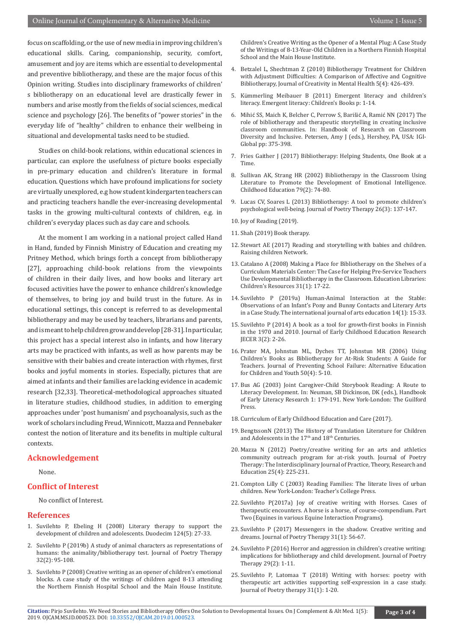focus on scaffolding, or the use of new media in improving children's educational skills. Caring, companionship, security, comfort, amusement and joy are items which are essential to developmental and preventive bibliotherapy, and these are the major focus of this Opinion writing. Studies into disciplinary frameworks of children' s bibliotherapy on an educational level are drastically fewer in numbers and arise mostly from the fields of social sciences, medical science and psychology [26]. The benefits of "power stories" in the everyday life of "healthy" children to enhance their wellbeing in situational and developmental tasks need to be studied.

Studies on child-book relations, within educational sciences in particular, can explore the usefulness of picture books especially in pre-primary education and children's literature in formal education. Questions which have profound implications for society are virtually unexplored, e.g how student kindergarten teachers can and practicing teachers handle the ever-increasing developmental tasks in the growing multi-cultural contexts of children, e.g. in children's everyday places such as day care and schools.

At the moment I am working in a national project called Hand in Hand, funded by Finnish Ministry of Education and creating my Pritney Method, which brings forth a concept from bibliotherapy [27], approaching child-book relations from the viewpoints of children in their daily lives, and how books and literary art focused activities have the power to enhance children's knowledge of themselves, to bring joy and build trust in the future. As in educational settings, this concept is referred to as developmental bibliotherapy and may be used by teachers, librarians and parents, and is meant to help children grow and develop [28-31]. In particular, this project has a special interest also in infants, and how literary arts may be practiced with infants, as well as how parents may be sensitive with their babies and create interaction with rhymes, first books and joyful moments in stories. Especially, pictures that are aimed at infants and their families are lacking evidence in academic research [32,33]. Theoretical-methodological approaches situated in literature studies, childhood studies, in addition to emerging approaches under 'post humanism' and psychoanalysis, such as the work of scholars including Freud, Winnicott, Mazza and Pennebaker contest the notion of literature and its benefits in multiple cultural contexts.

#### **Acknowledgement**

None.

#### **Conflict of Interest**

No conflict of Interest.

#### **References**

- 1. Suvilehto P, Ebeling H (2008) Literary therapy to support the development of children and adolescents. Duodecim 124(5): 27-33.
- 2. Suvilehto P (2019b) A study of animal characters as representations of humans: the animality/bibliotherapy test. Journal of Poetry Therapy 32(2): 95-108.
- 3. Suvilehto P (2008) Creative writing as an opener of children's emotional blocks. A case study of the writings of children aged 8-13 attending the Northern Finnish Hospital School and the Main House Institute.

Children's Creative Writing as the Opener of a Mental Plug: A Case Study of the Writings of 8-13-Year-Old Children in a Northern Finnish Hospital School and the Main House Institute.

- 4. Betzalel L, Shechtman Z (2010) Bibliotherapy Treatment for Children with Adjustment Difficulties: A Comparison of Affective and Cognitive Bibliotherapy, Journal of Creativity in Mental Health 5(4): 426-439.
- 5. Kümmerling Meibauer B (2011) Emergent literacy and children's literacy. Emergent literacy: Children's Books p: 1-14.
- 6. Mihić SS, Maich K, Belcher C, Perrow S, Barišić A, Ramić NN (2017) The role of bibliotherapy and therapeutic storytelling in creating inclusive classroom communities. In: Handbook of Research on Classroom Diversity and Inclusive. Petersen, Amy J (eds.), Hershey, PA, USA: IGI-Global pp: 375-398.
- 7. Fries Gaither J (2017) Bibliotherapy: Helping Students, One Book at a Time.
- 8. Sullivan AK, Strang HR (2002) Bibliotherapy in the Classroom Using Literature to Promote the Development of Emotional Intelligence. Childhood Education 79(2): 74-80.
- 9. Lucas CV, Soares L (2013) Bibliotherapy: A tool to promote children's psychological well-being. Journal of Poetry Therapy 26(3): 137-147.
- 10. Joy of Reading (2019).
- 11. Shah (2019) Book therapy.
- 12. Stewart AE (2017) Reading and storytelling with babies and children. Raising children Network.
- 13. Catalano A (2008) Making a Place for Bibliotherapy on the Shelves of a Curriculum Materials Center: The Case for Helping Pre-Service Teachers Use Developmental Bibliotherapy in the Classroom. Education Libraries: Children's Resources 31(1): 17-22.
- 14. Suvilehto P (2019a) Human-Animal Interaction at the Stable: Observations of an Infant's Pony and Bunny Contacts and Literary Arts in a Case Study. The international journal of arts education 14(1): 15-33.
- 15. Suvilehto P (2014) A book as a tool for growth-first books in Finnish in the 1970 and 2010. Journal of Early Childhood Education Research JECER 3(2): 2-26.
- 16. Prater MA, Johnstun ML, Dyches TT, Johnstun MR (2006) Using Children's Books as Bibliotherapy for At-Risk Students: A Guide for Teachers. Journal of Preventing School Failure: Alternative Education for Children and Youth 50(4): 5-10.
- 17. Bus AG (2003) Joint Caregiver-Child Storybook Reading: A Route to Literacy Development. In: Neuman, SB Dickinson, DK (eds.), Handbook of Early Literacy Research 1: 179-191. New York-London: The Guilford Press.
- 18. Curriculum of Early Childhood Education and Care (2017).
- 19. BengtssonN (2013) The History of Translation Literature for Children and Adolescents in the 17<sup>th</sup> and 18<sup>th</sup> Centuries.
- 20. Mazza N (2012) Poetry/creative writing for an arts and athletics community outreach program for at-risk youth. Journal of Poetry Therapy: The Interdisciplinary Journal of Practice, Theory, Research and Education 25(4): 225-231.
- 21. Compton Lilly C (2003) Reading Families: The literate lives of urban children. New York-London: Teacher's College Press.
- 22. Suvilehto P(2017a) Joy of creative writing with Horses. Cases of therapeutic encounters. A horse is a horse, of course-compendium. Part Two (Equines in various Equine Interaction Programs).
- 23. Suvilehto P (2017) Messengers in the shadow. Creative writing and dreams. Journal of Poetry Therapy 31(1): 56-67.
- 24. Suvilehto P (2016) Horror and aggression in children's creative writing: implications for bibliotherapy and child development. Journal of Poetry Therapy 29(2): 1-11.
- 25. Suvilehto P, Latomaa T (2018) Writing with horses: poetry with therapeutic art activities supporting self-expression in a case study. Journal of Poetry therapy 31(1): 1-20.